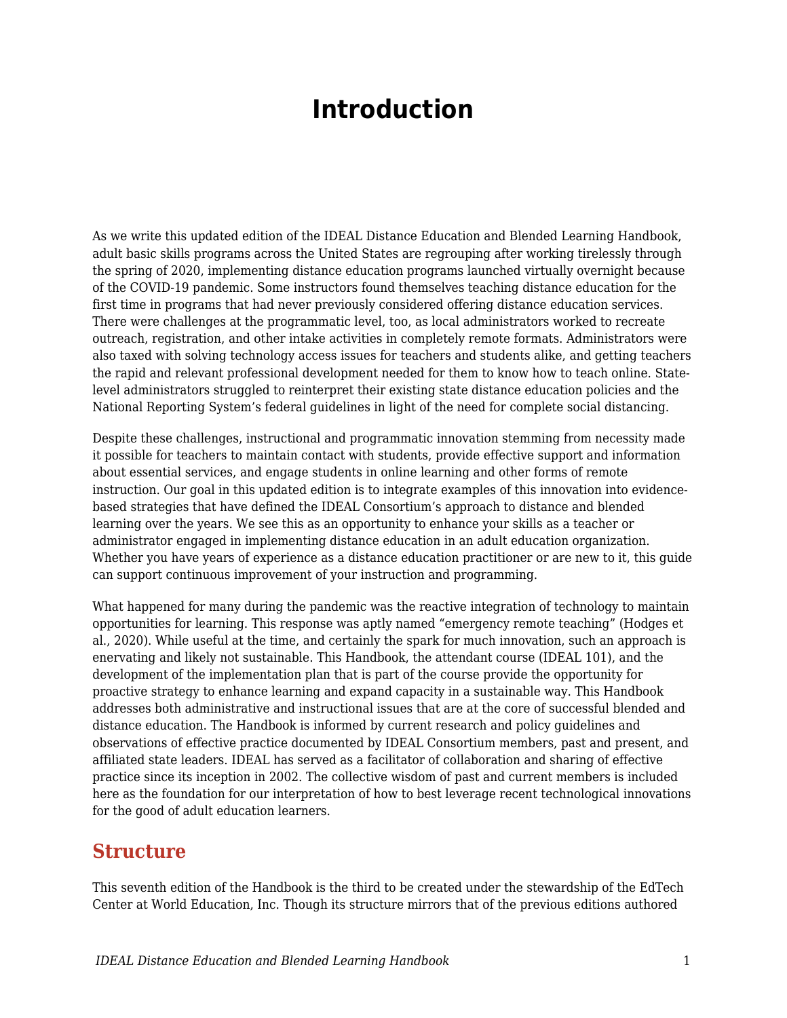# **Introduction**

As we write this updated edition of the IDEAL Distance Education and Blended Learning Handbook, adult basic skills programs across the United States are regrouping after working tirelessly through the spring of 2020, implementing distance education programs launched virtually overnight because of the COVID-19 pandemic. Some instructors found themselves teaching distance education for the first time in programs that had never previously considered offering distance education services. There were challenges at the programmatic level, too, as local administrators worked to recreate outreach, registration, and other intake activities in completely remote formats. Administrators were also taxed with solving technology access issues for teachers and students alike, and getting teachers the rapid and relevant professional development needed for them to know how to teach online. Statelevel administrators struggled to reinterpret their existing state distance education policies and the National Reporting System's federal guidelines in light of the need for complete social distancing.

Despite these challenges, instructional and programmatic innovation stemming from necessity made it possible for teachers to maintain contact with students, provide effective support and information about essential services, and engage students in online learning and other forms of remote instruction. Our goal in this updated edition is to integrate examples of this innovation into evidencebased strategies that have defined the IDEAL Consortium's approach to distance and blended learning over the years. We see this as an opportunity to enhance your skills as a teacher or administrator engaged in implementing distance education in an adult education organization. Whether you have years of experience as a distance education practitioner or are new to it, this guide can support continuous improvement of your instruction and programming.

What happened for many during the pandemic was the reactive integration of technology to maintain opportunities for learning. This response was aptly named "emergency remote teaching" (Hodges et al., 2020). While useful at the time, and certainly the spark for much innovation, such an approach is enervating and likely not sustainable. This Handbook, the attendant course (IDEAL 101), and the development of the implementation plan that is part of the course provide the opportunity for proactive strategy to enhance learning and expand capacity in a sustainable way. This Handbook addresses both administrative and instructional issues that are at the core of successful blended and distance education. The Handbook is informed by current research and policy guidelines and observations of effective practice documented by IDEAL Consortium members, past and present, and affiliated state leaders. IDEAL has served as a facilitator of collaboration and sharing of effective practice since its inception in 2002. The collective wisdom of past and current members is included here as the foundation for our interpretation of how to best leverage recent technological innovations for the good of adult education learners.

### **Structure**

This seventh edition of the Handbook is the third to be created under the stewardship of the EdTech Center at World Education, Inc. Though its structure mirrors that of the previous editions authored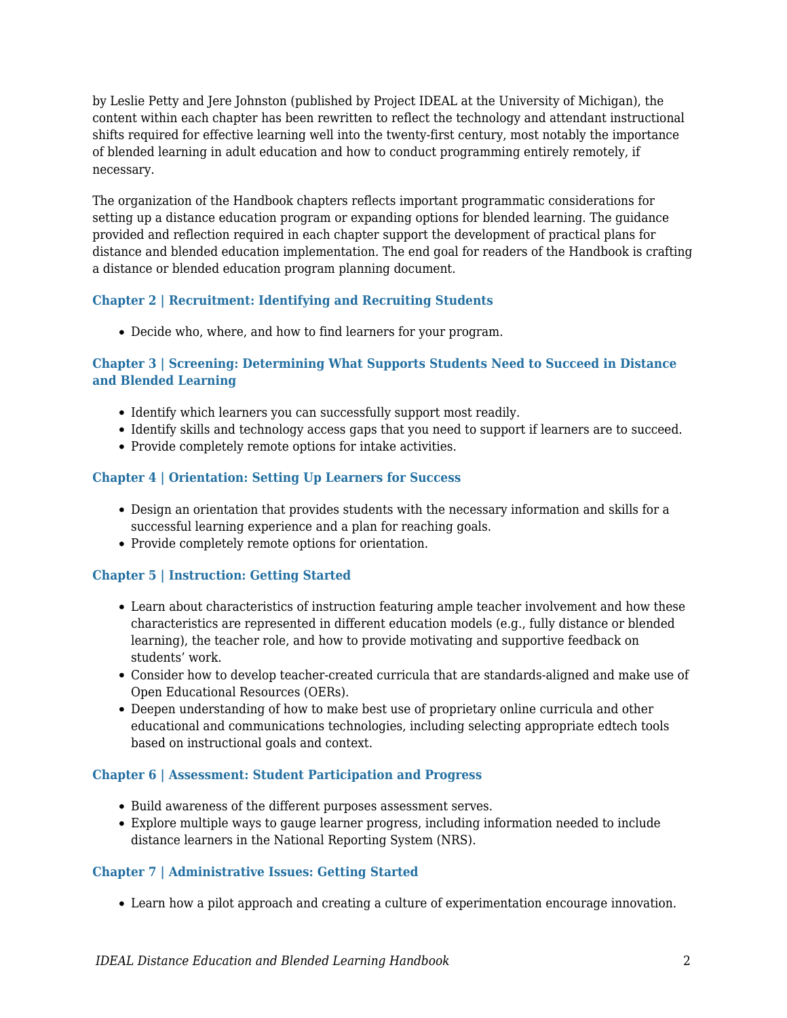by Leslie Petty and Jere Johnston (published by Project IDEAL at the University of Michigan), the content within each chapter has been rewritten to reflect the technology and attendant instructional shifts required for effective learning well into the twenty-first century, most notably the importance of blended learning in adult education and how to conduct programming entirely remotely, if necessary.

The organization of the Handbook chapters reflects important programmatic considerations for setting up a distance education program or expanding options for blended learning. The guidance provided and reflection required in each chapter support the development of practical plans for distance and blended education implementation. The end goal for readers of the Handbook is crafting a distance or blended education program planning document.

#### **Chapter 2 | Recruitment: Identifying and Recruiting Students**

Decide who, where, and how to find learners for your program.

#### **Chapter 3 | Screening: Determining What Supports Students Need to Succeed in Distance and Blended Learning**

- Identify which learners you can successfully support most readily.
- Identify skills and technology access gaps that you need to support if learners are to succeed.
- Provide completely remote options for intake activities.

#### **Chapter 4 | Orientation: Setting Up Learners for Success**

- Design an orientation that provides students with the necessary information and skills for a successful learning experience and a plan for reaching goals.
- Provide completely remote options for orientation.

#### **Chapter 5 | Instruction: Getting Started**

- Learn about characteristics of instruction featuring ample teacher involvement and how these characteristics are represented in different education models (e.g., fully distance or blended learning), the teacher role, and how to provide motivating and supportive feedback on students' work.
- Consider how to develop teacher-created curricula that are standards-aligned and make use of Open Educational Resources (OERs).
- Deepen understanding of how to make best use of proprietary online curricula and other educational and communications technologies, including selecting appropriate edtech tools based on instructional goals and context.

#### **Chapter 6 | Assessment: Student Participation and Progress**

- Build awareness of the different purposes assessment serves.
- Explore multiple ways to gauge learner progress, including information needed to include distance learners in the National Reporting System (NRS).

#### **Chapter 7 | Administrative Issues: Getting Started**

Learn how a pilot approach and creating a culture of experimentation encourage innovation.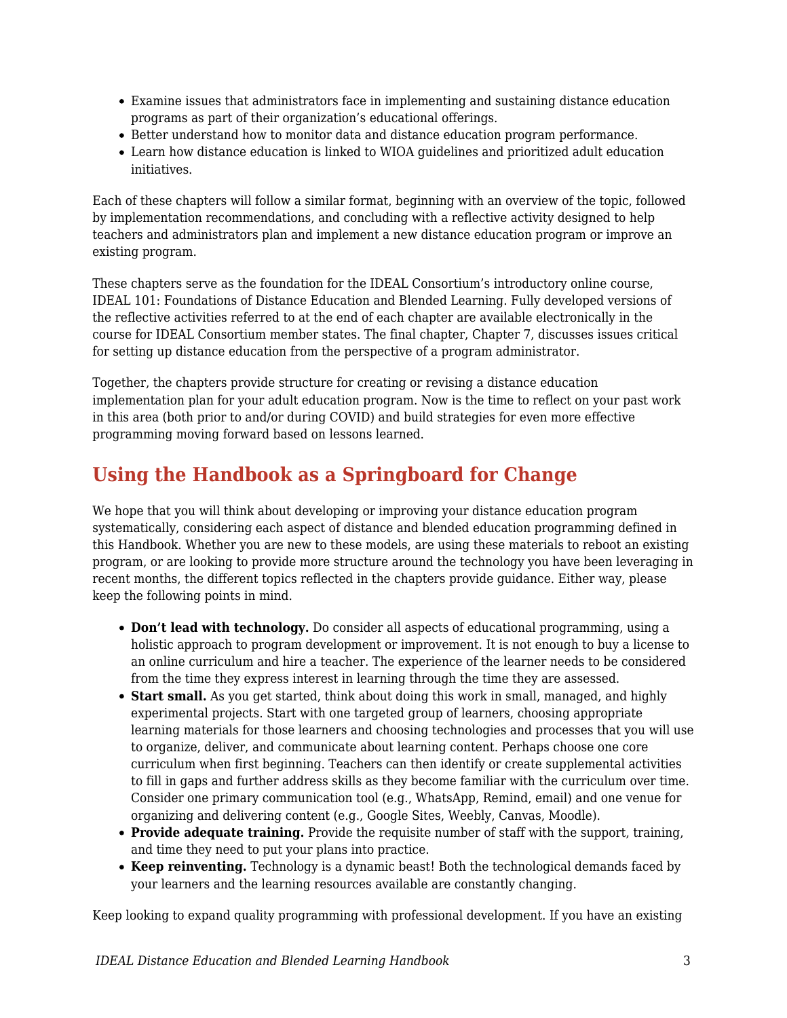- Examine issues that administrators face in implementing and sustaining distance education programs as part of their organization's educational offerings.
- Better understand how to monitor data and distance education program performance.
- Learn how distance education is linked to WIOA guidelines and prioritized adult education initiatives.

Each of these chapters will follow a similar format, beginning with an overview of the topic, followed by implementation recommendations, and concluding with a reflective activity designed to help teachers and administrators plan and implement a new distance education program or improve an existing program.

These chapters serve as the foundation for the IDEAL Consortium's introductory online course, IDEAL 101: Foundations of Distance Education and Blended Learning. Fully developed versions of the reflective activities referred to at the end of each chapter are available electronically in the course for IDEAL Consortium member states. The final chapter, Chapter 7, discusses issues critical for setting up distance education from the perspective of a program administrator.

Together, the chapters provide structure for creating or revising a distance education implementation plan for your adult education program. Now is the time to reflect on your past work in this area (both prior to and/or during COVID) and build strategies for even more effective programming moving forward based on lessons learned.

### **Using the Handbook as a Springboard for Change**

We hope that you will think about developing or improving your distance education program systematically, considering each aspect of distance and blended education programming defined in this Handbook. Whether you are new to these models, are using these materials to reboot an existing program, or are looking to provide more structure around the technology you have been leveraging in recent months, the different topics reflected in the chapters provide guidance. Either way, please keep the following points in mind.

- **Don't lead with technology.** Do consider all aspects of educational programming, using a holistic approach to program development or improvement. It is not enough to buy a license to an online curriculum and hire a teacher. The experience of the learner needs to be considered from the time they express interest in learning through the time they are assessed.
- **Start small.** As you get started, think about doing this work in small, managed, and highly experimental projects. Start with one targeted group of learners, choosing appropriate learning materials for those learners and choosing technologies and processes that you will use to organize, deliver, and communicate about learning content. Perhaps choose one core curriculum when first beginning. Teachers can then identify or create supplemental activities to fill in gaps and further address skills as they become familiar with the curriculum over time. Consider one primary communication tool (e.g., WhatsApp, Remind, email) and one venue for organizing and delivering content (e.g., Google Sites, Weebly, Canvas, Moodle).
- **Provide adequate training.** Provide the requisite number of staff with the support, training, and time they need to put your plans into practice.
- **Keep reinventing.** Technology is a dynamic beast! Both the technological demands faced by your learners and the learning resources available are constantly changing.

Keep looking to expand quality programming with professional development. If you have an existing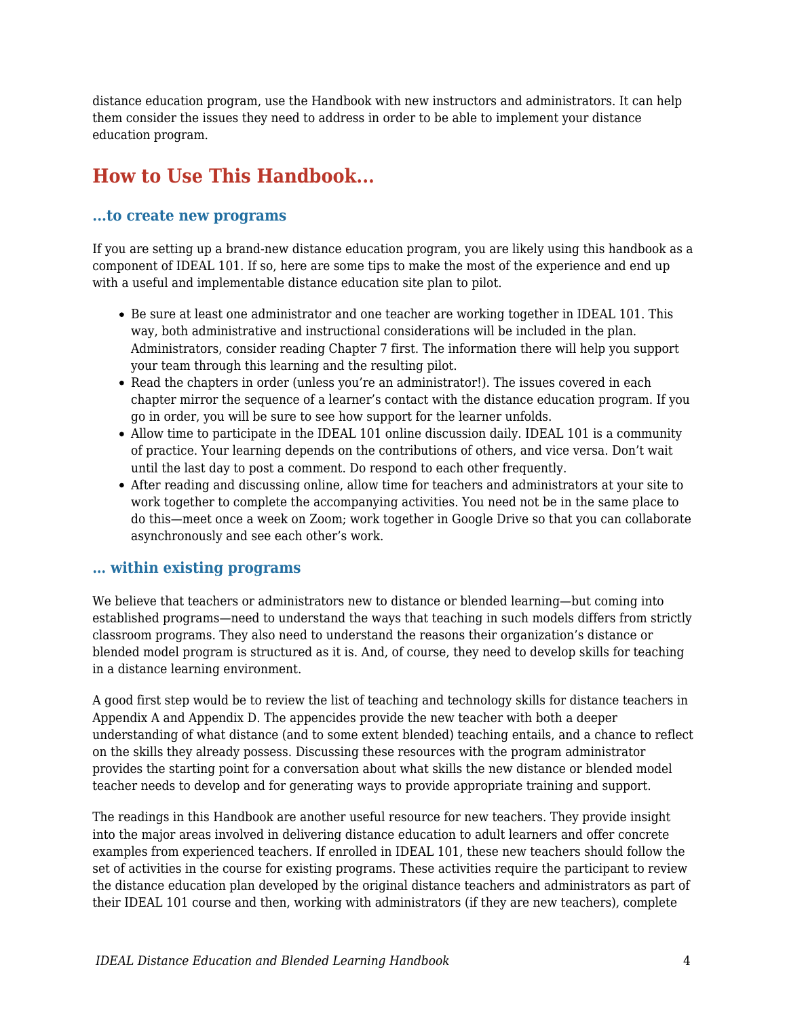distance education program, use the Handbook with new instructors and administrators. It can help them consider the issues they need to address in order to be able to implement your distance education program.

## **How to Use This Handbook...**

#### **...to create new programs**

If you are setting up a brand-new distance education program, you are likely using this handbook as a component of IDEAL 101. If so, here are some tips to make the most of the experience and end up with a useful and implementable distance education site plan to pilot.

- Be sure at least one administrator and one teacher are working together in IDEAL 101. This way, both administrative and instructional considerations will be included in the plan. Administrators, consider reading Chapter 7 first. The information there will help you support your team through this learning and the resulting pilot.
- Read the chapters in order (unless you're an administrator!). The issues covered in each chapter mirror the sequence of a learner's contact with the distance education program. If you go in order, you will be sure to see how support for the learner unfolds.
- Allow time to participate in the IDEAL 101 online discussion daily. IDEAL 101 is a community of practice. Your learning depends on the contributions of others, and vice versa. Don't wait until the last day to post a comment. Do respond to each other frequently.
- After reading and discussing online, allow time for teachers and administrators at your site to work together to complete the accompanying activities. You need not be in the same place to do this—meet once a week on Zoom; work together in Google Drive so that you can collaborate asynchronously and see each other's work.

#### **… within existing programs**

We believe that teachers or administrators new to distance or blended learning—but coming into established programs—need to understand the ways that teaching in such models differs from strictly classroom programs. They also need to understand the reasons their organization's distance or blended model program is structured as it is. And, of course, they need to develop skills for teaching in a distance learning environment.

A good first step would be to review the list of teaching and technology skills for distance teachers in Appendix A and Appendix D. The appencides provide the new teacher with both a deeper understanding of what distance (and to some extent blended) teaching entails, and a chance to reflect on the skills they already possess. Discussing these resources with the program administrator provides the starting point for a conversation about what skills the new distance or blended model teacher needs to develop and for generating ways to provide appropriate training and support.

The readings in this Handbook are another useful resource for new teachers. They provide insight into the major areas involved in delivering distance education to adult learners and offer concrete examples from experienced teachers. If enrolled in IDEAL 101, these new teachers should follow the set of activities in the course for existing programs. These activities require the participant to review the distance education plan developed by the original distance teachers and administrators as part of their IDEAL 101 course and then, working with administrators (if they are new teachers), complete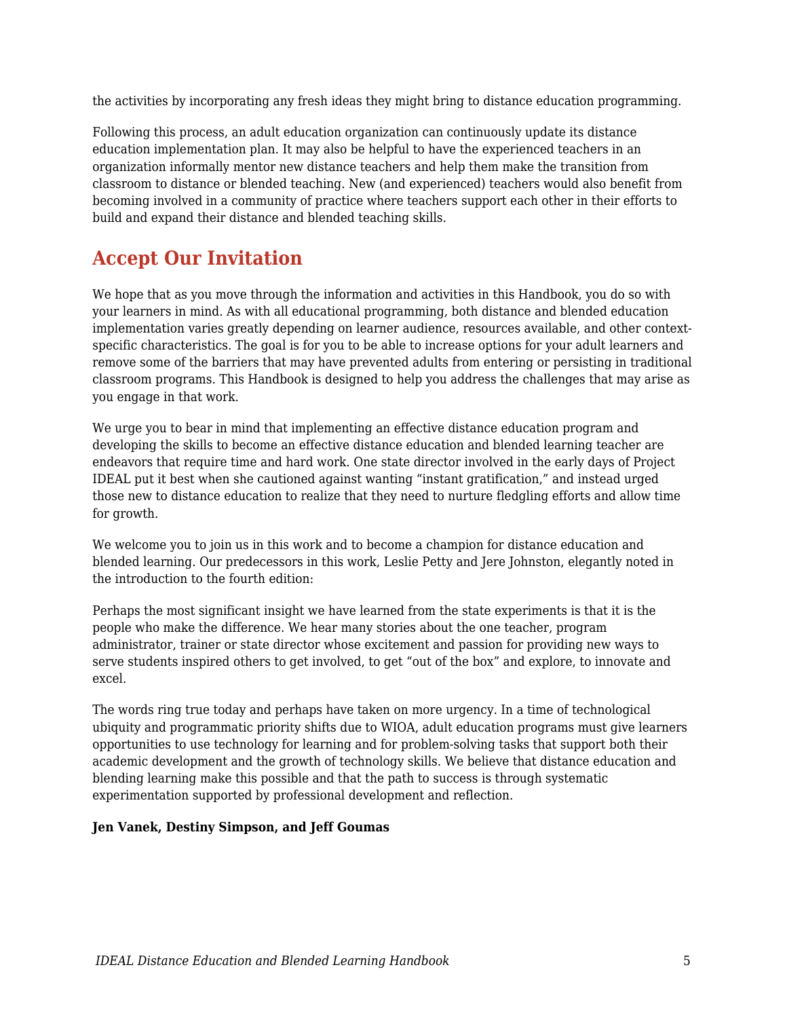the activities by incorporating any fresh ideas they might bring to distance education programming.

Following this process, an adult education organization can continuously update its distance education implementation plan. It may also be helpful to have the experienced teachers in an organization informally mentor new distance teachers and help them make the transition from classroom to distance or blended teaching. New (and experienced) teachers would also benefit from becoming involved in a community of practice where teachers support each other in their efforts to build and expand their distance and blended teaching skills.

### **Accept Our Invitation**

We hope that as you move through the information and activities in this Handbook, you do so with your learners in mind. As with all educational programming, both distance and blended education implementation varies greatly depending on learner audience, resources available, and other contextspecific characteristics. The goal is for you to be able to increase options for your adult learners and remove some of the barriers that may have prevented adults from entering or persisting in traditional classroom programs. This Handbook is designed to help you address the challenges that may arise as you engage in that work.

We urge you to bear in mind that implementing an effective distance education program and developing the skills to become an effective distance education and blended learning teacher are endeavors that require time and hard work. One state director involved in the early days of Project IDEAL put it best when she cautioned against wanting "instant gratification," and instead urged those new to distance education to realize that they need to nurture fledgling efforts and allow time for growth.

We welcome you to join us in this work and to become a champion for distance education and blended learning. Our predecessors in this work, Leslie Petty and Jere Johnston, elegantly noted in the introduction to the fourth edition:

Perhaps the most significant insight we have learned from the state experiments is that it is the people who make the difference. We hear many stories about the one teacher, program administrator, trainer or state director whose excitement and passion for providing new ways to serve students inspired others to get involved, to get "out of the box" and explore, to innovate and excel.

The words ring true today and perhaps have taken on more urgency. In a time of technological ubiquity and programmatic priority shifts due to WIOA, adult education programs must give learners opportunities to use technology for learning and for problem-solving tasks that support both their academic development and the growth of technology skills. We believe that distance education and blending learning make this possible and that the path to success is through systematic experimentation supported by professional development and reflection.

#### **Jen Vanek, Destiny Simpson, and Jeff Goumas**